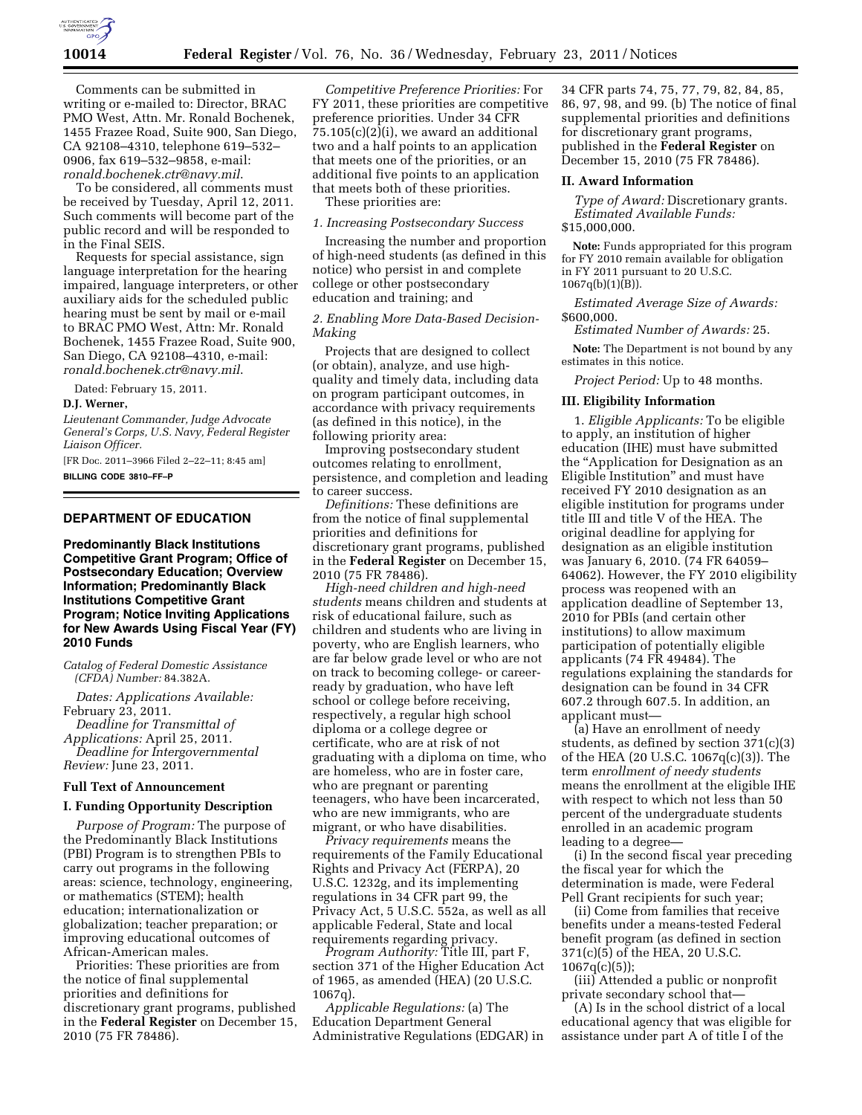

Comments can be submitted in writing or e-mailed to: Director, BRAC PMO West, Attn. Mr. Ronald Bochenek, 1455 Frazee Road, Suite 900, San Diego, CA 92108–4310, telephone 619–532– 0906, fax 619–532–9858, e-mail: *[ronald.bochenek.ctr@navy.mil](mailto:ronald.bochenek.ctr@navy.mil)*.

To be considered, all comments must be received by Tuesday, April 12, 2011. Such comments will become part of the public record and will be responded to in the Final SEIS.

Requests for special assistance, sign language interpretation for the hearing impaired, language interpreters, or other auxiliary aids for the scheduled public hearing must be sent by mail or e-mail to BRAC PMO West, Attn: Mr. Ronald Bochenek, 1455 Frazee Road, Suite 900, San Diego, CA 92108–4310, e-mail: *[ronald.bochenek.ctr@navy.mil](mailto:ronald.bochenek.ctr@navy.mil)*.

Dated: February 15, 2011.

#### **D.J. Werner,**

*Lieutenant Commander, Judge Advocate General's Corps, U.S. Navy, Federal Register Liaison Officer.* 

[FR Doc. 2011–3966 Filed 2–22–11; 8:45 am] **BILLING CODE 3810–FF–P** 

## **DEPARTMENT OF EDUCATION**

**Predominantly Black Institutions Competitive Grant Program; Office of Postsecondary Education; Overview Information; Predominantly Black Institutions Competitive Grant Program; Notice Inviting Applications for New Awards Using Fiscal Year (FY) 2010 Funds** 

*Catalog of Federal Domestic Assistance (CFDA) Number:* 84.382A.

*Dates: Applications Available:*  February 23, 2011.

*Deadline for Transmittal of Applications:* April 25, 2011. *Deadline for Intergovernmental Review:* June 23, 2011.

### **Full Text of Announcement**

### **I. Funding Opportunity Description**

*Purpose of Program:* The purpose of the Predominantly Black Institutions (PBI) Program is to strengthen PBIs to carry out programs in the following areas: science, technology, engineering, or mathematics (STEM); health education; internationalization or globalization; teacher preparation; or improving educational outcomes of African-American males.

Priorities: These priorities are from the notice of final supplemental priorities and definitions for discretionary grant programs, published in the **Federal Register** on December 15, 2010 (75 FR 78486).

*Competitive Preference Priorities:* For FY 2011, these priorities are competitive preference priorities. Under 34 CFR  $75.105(c)(2)(i)$ , we award an additional two and a half points to an application that meets one of the priorities, or an additional five points to an application that meets both of these priorities.

These priorities are:

*1. Increasing Postsecondary Success* 

Increasing the number and proportion of high-need students (as defined in this notice) who persist in and complete college or other postsecondary education and training; and

### *2. Enabling More Data-Based Decision-Making*

Projects that are designed to collect (or obtain), analyze, and use highquality and timely data, including data on program participant outcomes, in accordance with privacy requirements (as defined in this notice), in the following priority area:

Improving postsecondary student outcomes relating to enrollment, persistence, and completion and leading to career success.

*Definitions:* These definitions are from the notice of final supplemental priorities and definitions for discretionary grant programs, published in the **Federal Register** on December 15, 2010 (75 FR 78486).

*High-need children and high-need students* means children and students at risk of educational failure, such as children and students who are living in poverty, who are English learners, who are far below grade level or who are not on track to becoming college- or careerready by graduation, who have left school or college before receiving, respectively, a regular high school diploma or a college degree or certificate, who are at risk of not graduating with a diploma on time, who are homeless, who are in foster care, who are pregnant or parenting teenagers, who have been incarcerated, who are new immigrants, who are migrant, or who have disabilities.

*Privacy requirements* means the requirements of the Family Educational Rights and Privacy Act (FERPA), 20 U.S.C. 1232g, and its implementing regulations in 34 CFR part 99, the Privacy Act, 5 U.S.C. 552a, as well as all applicable Federal, State and local requirements regarding privacy.

*Program Authority:* Title III, part F, section 371 of the Higher Education Act of 1965, as amended (HEA) (20 U.S.C. 1067q).

*Applicable Regulations:* (a) The Education Department General Administrative Regulations (EDGAR) in

34 CFR parts 74, 75, 77, 79, 82, 84, 85, 86, 97, 98, and 99. (b) The notice of final supplemental priorities and definitions for discretionary grant programs, published in the **Federal Register** on December 15, 2010 (75 FR 78486).

#### **II. Award Information**

*Type of Award:* Discretionary grants. *Estimated Available Funds:*  \$15,000,000.

**Note:** Funds appropriated for this program for FY 2010 remain available for obligation in FY 2011 pursuant to 20 U.S.C. 1067q(b)(1)(B)).

*Estimated Average Size of Awards:*  \$600,000.

*Estimated Number of Awards:* 25.

**Note:** The Department is not bound by any estimates in this notice.

*Project Period:* Up to 48 months.

#### **III. Eligibility Information**

1. *Eligible Applicants:* To be eligible to apply, an institution of higher education (IHE) must have submitted the ''Application for Designation as an Eligible Institution'' and must have received FY 2010 designation as an eligible institution for programs under title III and title V of the HEA. The original deadline for applying for designation as an eligible institution was January 6, 2010. (74 FR 64059– 64062). However, the FY 2010 eligibility process was reopened with an application deadline of September 13, 2010 for PBIs (and certain other institutions) to allow maximum participation of potentially eligible applicants (74 FR 49484). The regulations explaining the standards for designation can be found in 34 CFR 607.2 through 607.5. In addition, an applicant must—

(a) Have an enrollment of needy students, as defined by section 371(c)(3) of the HEA (20 U.S.C. 1067q(c)(3)). The term *enrollment of needy students*  means the enrollment at the eligible IHE with respect to which not less than 50 percent of the undergraduate students enrolled in an academic program leading to a degree—

(i) In the second fiscal year preceding the fiscal year for which the determination is made, were Federal Pell Grant recipients for such year;

(ii) Come from families that receive benefits under a means-tested Federal benefit program (as defined in section 371(c)(5) of the HEA, 20 U.S.C.  $1067q(c)(5)$ ;

(iii) Attended a public or nonprofit private secondary school that—

(A) Is in the school district of a local educational agency that was eligible for assistance under part A of title I of the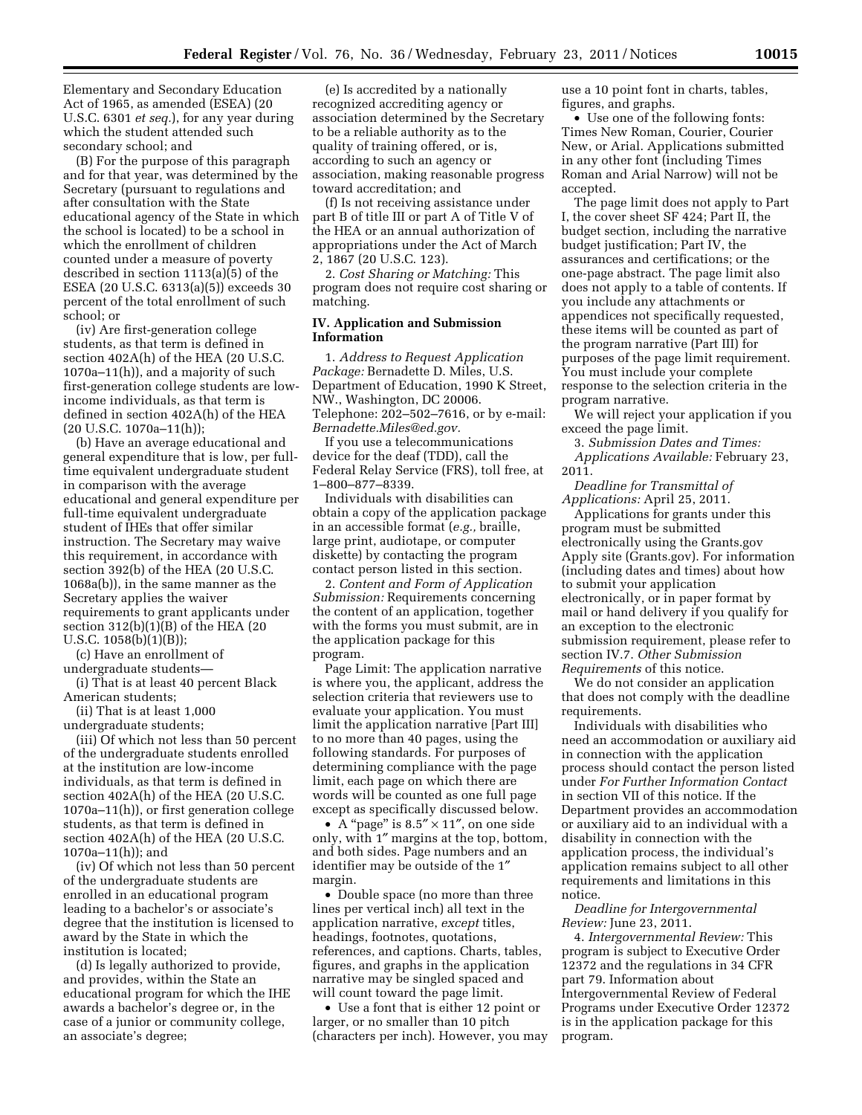Elementary and Secondary Education Act of 1965, as amended (ESEA) (20 U.S.C. 6301 *et seq.*), for any year during which the student attended such secondary school; and

(B) For the purpose of this paragraph and for that year, was determined by the Secretary (pursuant to regulations and after consultation with the State educational agency of the State in which the school is located) to be a school in which the enrollment of children counted under a measure of poverty described in section 1113(a)(5) of the ESEA (20 U.S.C. 6313(a)(5)) exceeds 30 percent of the total enrollment of such school; or

(iv) Are first-generation college students, as that term is defined in section 402A(h) of the HEA (20 U.S.C. 1070a–11(h)), and a majority of such first-generation college students are lowincome individuals, as that term is defined in section 402A(h) of the HEA (20 U.S.C. 1070a–11(h));

(b) Have an average educational and general expenditure that is low, per fulltime equivalent undergraduate student in comparison with the average educational and general expenditure per full-time equivalent undergraduate student of IHEs that offer similar instruction. The Secretary may waive this requirement, in accordance with section 392(b) of the HEA (20 U.S.C. 1068a(b)), in the same manner as the Secretary applies the waiver requirements to grant applicants under section 312(b)(1)(B) of the HEA (20 U.S.C. 1058(b)(1)(B));

(c) Have an enrollment of undergraduate students—

(i) That is at least 40 percent Black American students;

(ii) That is at least 1,000 undergraduate students;

(iii) Of which not less than 50 percent of the undergraduate students enrolled at the institution are low-income individuals, as that term is defined in section 402A(h) of the HEA (20 U.S.C. 1070a–11(h)), or first generation college students, as that term is defined in section 402A(h) of the HEA (20 U.S.C. 1070a–11(h)); and

(iv) Of which not less than 50 percent of the undergraduate students are enrolled in an educational program leading to a bachelor's or associate's degree that the institution is licensed to award by the State in which the institution is located;

(d) Is legally authorized to provide, and provides, within the State an educational program for which the IHE awards a bachelor's degree or, in the case of a junior or community college, an associate's degree;

(e) Is accredited by a nationally recognized accrediting agency or association determined by the Secretary to be a reliable authority as to the quality of training offered, or is, according to such an agency or association, making reasonable progress toward accreditation; and

(f) Is not receiving assistance under part B of title III or part A of Title V of the HEA or an annual authorization of appropriations under the Act of March 2, 1867 (20 U.S.C. 123).

2. *Cost Sharing or Matching:* This program does not require cost sharing or matching.

## **IV. Application and Submission Information**

1. *Address to Request Application Package:* Bernadette D. Miles, U.S. Department of Education, 1990 K Street, NW., Washington, DC 20006. Telephone: 202–502–7616, or by e-mail: *[Bernadette.Miles@ed.gov.](mailto:Bernadette.Miles@ed.gov)* 

If you use a telecommunications device for the deaf (TDD), call the Federal Relay Service (FRS), toll free, at 1–800–877–8339.

Individuals with disabilities can obtain a copy of the application package in an accessible format (*e.g.,* braille, large print, audiotape, or computer diskette) by contacting the program contact person listed in this section.

2. *Content and Form of Application Submission:* Requirements concerning the content of an application, together with the forms you must submit, are in the application package for this program.

Page Limit: The application narrative is where you, the applicant, address the selection criteria that reviewers use to evaluate your application. You must limit the application narrative [Part III] to no more than 40 pages, using the following standards. For purposes of determining compliance with the page limit, each page on which there are words will be counted as one full page except as specifically discussed below.

• A "page" is  $8.5'' \times 11''$ , on one side only, with 1″ margins at the top, bottom, and both sides. Page numbers and an identifier may be outside of the 1″ margin.

• Double space (no more than three lines per vertical inch) all text in the application narrative, *except* titles, headings, footnotes, quotations, references, and captions. Charts, tables, figures, and graphs in the application narrative may be singled spaced and will count toward the page limit.

• Use a font that is either 12 point or larger, or no smaller than 10 pitch (characters per inch). However, you may use a 10 point font in charts, tables, figures, and graphs.

• Use one of the following fonts: Times New Roman, Courier, Courier New, or Arial. Applications submitted in any other font (including Times Roman and Arial Narrow) will not be accepted.

The page limit does not apply to Part I, the cover sheet SF 424; Part II, the budget section, including the narrative budget justification; Part IV, the assurances and certifications; or the one-page abstract. The page limit also does not apply to a table of contents. If you include any attachments or appendices not specifically requested, these items will be counted as part of the program narrative (Part III) for purposes of the page limit requirement. You must include your complete response to the selection criteria in the program narrative.

We will reject your application if you exceed the page limit.

3. *Submission Dates and Times:* 

*Applications Available:* February 23, 2011.

*Deadline for Transmittal of Applications:* April 25, 2011.

Applications for grants under this program must be submitted electronically using the Grants.gov Apply site (Grants.gov). For information (including dates and times) about how to submit your application electronically, or in paper format by mail or hand delivery if you qualify for an exception to the electronic submission requirement, please refer to section IV.7. *Other Submission Requirements* of this notice.

We do not consider an application that does not comply with the deadline requirements.

Individuals with disabilities who need an accommodation or auxiliary aid in connection with the application process should contact the person listed under *For Further Information Contact*  in section VII of this notice. If the Department provides an accommodation or auxiliary aid to an individual with a disability in connection with the application process, the individual's application remains subject to all other requirements and limitations in this notice.

*Deadline for Intergovernmental Review:* June 23, 2011.

4. *Intergovernmental Review:* This program is subject to Executive Order 12372 and the regulations in 34 CFR part 79. Information about Intergovernmental Review of Federal Programs under Executive Order 12372 is in the application package for this program.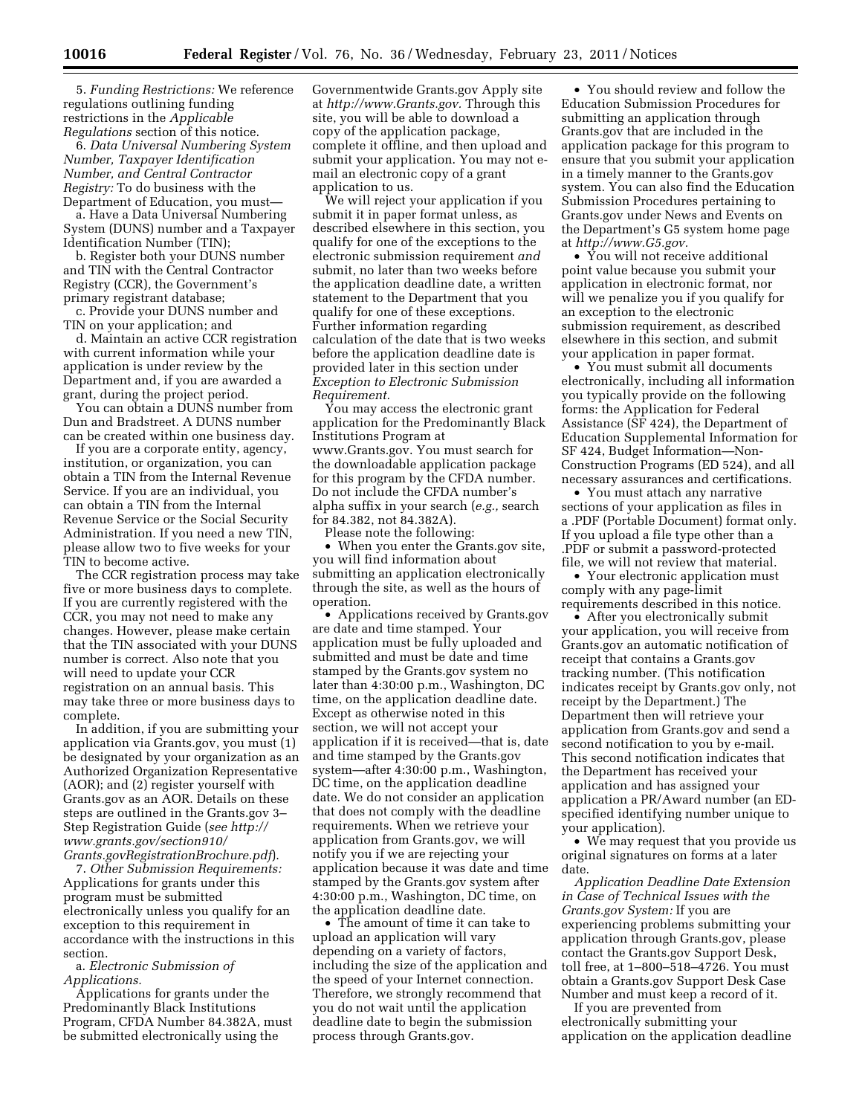5. *Funding Restrictions:* We reference regulations outlining funding restrictions in the *Applicable Regulations* section of this notice.

6. *Data Universal Numbering System Number, Taxpayer Identification Number, and Central Contractor Registry:* To do business with the Department of Education, you must—

a. Have a Data Universal Numbering System (DUNS) number and a Taxpayer Identification Number (TIN);

b. Register both your DUNS number and TIN with the Central Contractor Registry (CCR), the Government's primary registrant database;

c. Provide your DUNS number and TIN on your application; and

d. Maintain an active CCR registration with current information while your application is under review by the Department and, if you are awarded a grant, during the project period.

You can obtain a DUNS number from Dun and Bradstreet. A DUNS number can be created within one business day.

If you are a corporate entity, agency, institution, or organization, you can obtain a TIN from the Internal Revenue Service. If you are an individual, you can obtain a TIN from the Internal Revenue Service or the Social Security Administration. If you need a new TIN, please allow two to five weeks for your TIN to become active.

The CCR registration process may take five or more business days to complete. If you are currently registered with the CCR, you may not need to make any changes. However, please make certain that the TIN associated with your DUNS number is correct. Also note that you will need to update your CCR registration on an annual basis. This may take three or more business days to complete.

In addition, if you are submitting your application via Grants.gov, you must (1) be designated by your organization as an Authorized Organization Representative (AOR); and (2) register yourself with Grants.gov as an AOR. Details on these steps are outlined in the Grants.gov 3– Step Registration Guide (*see [http://](http://www.grants.gov/section910/Grants.govRegistrationBrochure.pdf) [www.grants.gov/section910/](http://www.grants.gov/section910/Grants.govRegistrationBrochure.pdf)  [Grants.govRegistrationBrochure.pdf](http://www.grants.gov/section910/Grants.govRegistrationBrochure.pdf)*).

7. *Other Submission Requirements:*  Applications for grants under this program must be submitted electronically unless you qualify for an exception to this requirement in accordance with the instructions in this section.

a. *Electronic Submission of Applications.* 

Applications for grants under the Predominantly Black Institutions Program, CFDA Number 84.382A, must be submitted electronically using the

Governmentwide Grants.gov Apply site at *[http://www.Grants.gov.](http://www.Grants.gov)* Through this site, you will be able to download a copy of the application package, complete it offline, and then upload and submit your application. You may not email an electronic copy of a grant application to us.

We will reject your application if you submit it in paper format unless, as described elsewhere in this section, you qualify for one of the exceptions to the electronic submission requirement *and*  submit, no later than two weeks before the application deadline date, a written statement to the Department that you qualify for one of these exceptions. Further information regarding calculation of the date that is two weeks before the application deadline date is provided later in this section under *Exception to Electronic Submission Requirement.* 

You may access the electronic grant application for the Predominantly Black Institutions Program at www.Grants.gov. You must search for the downloadable application package for this program by the CFDA number. Do not include the CFDA number's alpha suffix in your search (*e.g.,* search for 84.382, not 84.382A).

Please note the following:

• When you enter the Grants.gov site, you will find information about submitting an application electronically through the site, as well as the hours of operation.

• Applications received by Grants.gov are date and time stamped. Your application must be fully uploaded and submitted and must be date and time stamped by the Grants.gov system no later than 4:30:00 p.m., Washington, DC time, on the application deadline date. Except as otherwise noted in this section, we will not accept your application if it is received—that is, date and time stamped by the Grants.gov system—after 4:30:00 p.m., Washington, DC time, on the application deadline date. We do not consider an application that does not comply with the deadline requirements. When we retrieve your application from Grants.gov, we will notify you if we are rejecting your application because it was date and time stamped by the Grants.gov system after 4:30:00 p.m., Washington, DC time, on the application deadline date.

• The amount of time it can take to upload an application will vary depending on a variety of factors, including the size of the application and the speed of your Internet connection. Therefore, we strongly recommend that you do not wait until the application deadline date to begin the submission process through Grants.gov.

• You should review and follow the Education Submission Procedures for submitting an application through Grants.gov that are included in the application package for this program to ensure that you submit your application in a timely manner to the Grants.gov system. You can also find the Education Submission Procedures pertaining to Grants.gov under News and Events on the Department's G5 system home page at *[http://www.G5.gov.](http://www.G5.gov)* 

• You will not receive additional point value because you submit your application in electronic format, nor will we penalize you if you qualify for an exception to the electronic submission requirement, as described elsewhere in this section, and submit your application in paper format.

• You must submit all documents electronically, including all information you typically provide on the following forms: the Application for Federal Assistance (SF 424), the Department of Education Supplemental Information for SF 424, Budget Information—Non-Construction Programs (ED 524), and all necessary assurances and certifications.

• You must attach any narrative sections of your application as files in a .PDF (Portable Document) format only. If you upload a file type other than a .PDF or submit a password-protected file, we will not review that material.

• Your electronic application must comply with any page-limit requirements described in this notice.

• After you electronically submit your application, you will receive from Grants.gov an automatic notification of receipt that contains a Grants.gov tracking number. (This notification indicates receipt by Grants.gov only, not receipt by the Department.) The Department then will retrieve your application from Grants.gov and send a second notification to you by e-mail. This second notification indicates that the Department has received your application and has assigned your application a PR/Award number (an EDspecified identifying number unique to your application).

• We may request that you provide us original signatures on forms at a later date.

*Application Deadline Date Extension in Case of Technical Issues with the Grants.gov System:* If you are experiencing problems submitting your application through Grants.gov, please contact the Grants.gov Support Desk, toll free, at 1–800–518–4726. You must obtain a Grants.gov Support Desk Case Number and must keep a record of it.

If you are prevented from electronically submitting your application on the application deadline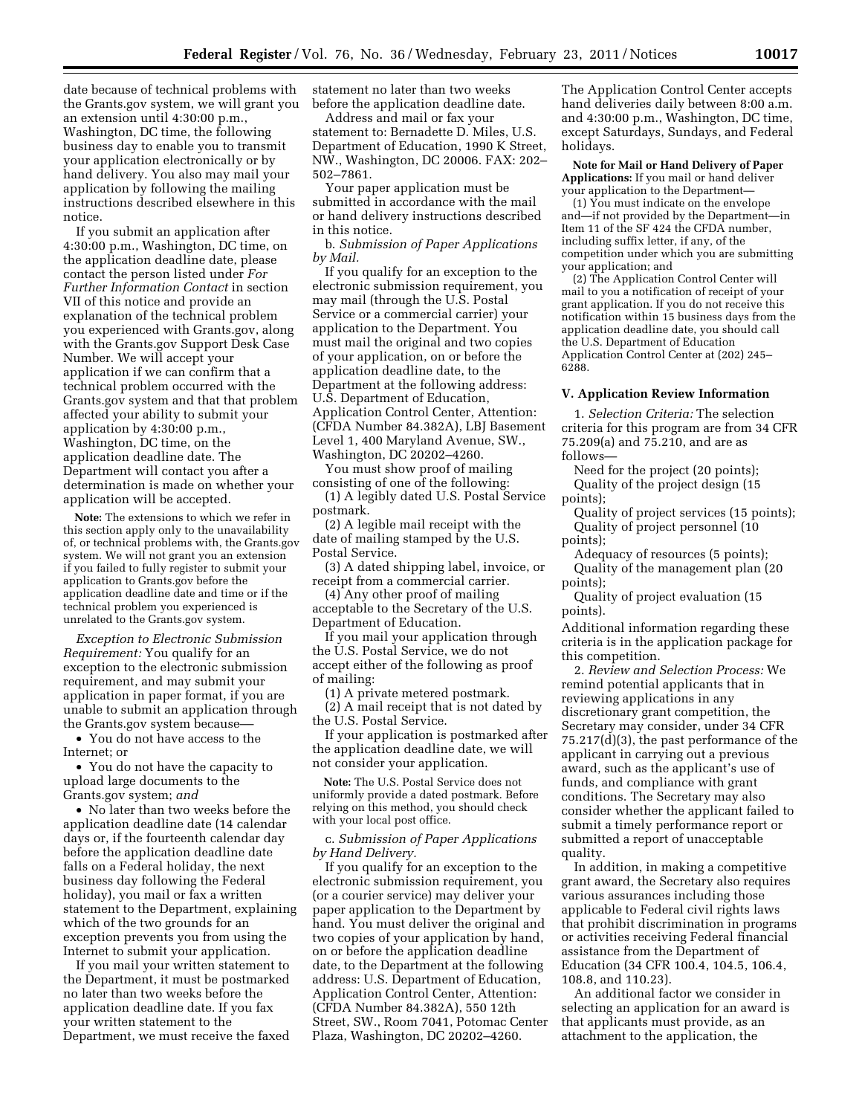date because of technical problems with the Grants.gov system, we will grant you an extension until 4:30:00 p.m., Washington, DC time, the following business day to enable you to transmit your application electronically or by hand delivery. You also may mail your application by following the mailing instructions described elsewhere in this notice.

If you submit an application after 4:30:00 p.m., Washington, DC time, on the application deadline date, please contact the person listed under *For Further Information Contact* in section VII of this notice and provide an explanation of the technical problem you experienced with Grants.gov, along with the Grants.gov Support Desk Case Number. We will accept your application if we can confirm that a technical problem occurred with the Grants.gov system and that that problem affected your ability to submit your application by 4:30:00 p.m., Washington, DC time, on the application deadline date. The Department will contact you after a determination is made on whether your application will be accepted.

**Note:** The extensions to which we refer in this section apply only to the unavailability of, or technical problems with, the Grants.gov system. We will not grant you an extension if you failed to fully register to submit your application to Grants.gov before the application deadline date and time or if the technical problem you experienced is unrelated to the Grants.gov system.

*Exception to Electronic Submission Requirement:* You qualify for an exception to the electronic submission requirement, and may submit your application in paper format, if you are unable to submit an application through the Grants.gov system because––

• You do not have access to the Internet; or

• You do not have the capacity to upload large documents to the Grants.gov system; *and* 

• No later than two weeks before the application deadline date (14 calendar days or, if the fourteenth calendar day before the application deadline date falls on a Federal holiday, the next business day following the Federal holiday), you mail or fax a written statement to the Department, explaining which of the two grounds for an exception prevents you from using the Internet to submit your application.

If you mail your written statement to the Department, it must be postmarked no later than two weeks before the application deadline date. If you fax your written statement to the Department, we must receive the faxed statement no later than two weeks before the application deadline date.

Address and mail or fax your statement to: Bernadette D. Miles, U.S. Department of Education, 1990 K Street, NW., Washington, DC 20006. FAX: 202– 502–7861.

Your paper application must be submitted in accordance with the mail or hand delivery instructions described in this notice.

b. *Submission of Paper Applications by Mail.* 

If you qualify for an exception to the electronic submission requirement, you may mail (through the U.S. Postal Service or a commercial carrier) your application to the Department. You must mail the original and two copies of your application, on or before the application deadline date, to the Department at the following address: U.S. Department of Education, Application Control Center, Attention: (CFDA Number 84.382A), LBJ Basement Level 1, 400 Maryland Avenue, SW., Washington, DC 20202–4260.

You must show proof of mailing consisting of one of the following: (1) A legibly dated U.S. Postal Service

postmark. (2) A legible mail receipt with the

date of mailing stamped by the U.S. Postal Service.

(3) A dated shipping label, invoice, or receipt from a commercial carrier.

(4) Any other proof of mailing acceptable to the Secretary of the U.S. Department of Education.

If you mail your application through the U.S. Postal Service, we do not accept either of the following as proof of mailing:

(1) A private metered postmark.

(2) A mail receipt that is not dated by the U.S. Postal Service.

If your application is postmarked after the application deadline date, we will not consider your application.

**Note:** The U.S. Postal Service does not uniformly provide a dated postmark. Before relying on this method, you should check with your local post office.

c. *Submission of Paper Applications by Hand Delivery.* 

If you qualify for an exception to the electronic submission requirement, you (or a courier service) may deliver your paper application to the Department by hand. You must deliver the original and two copies of your application by hand, on or before the application deadline date, to the Department at the following address: U.S. Department of Education, Application Control Center, Attention: (CFDA Number 84.382A), 550 12th Street, SW., Room 7041, Potomac Center Plaza, Washington, DC 20202–4260.

The Application Control Center accepts hand deliveries daily between 8:00 a.m. and 4:30:00 p.m., Washington, DC time, except Saturdays, Sundays, and Federal holidays.

**Note for Mail or Hand Delivery of Paper Applications:** If you mail or hand deliver your application to the Department—

(1) You must indicate on the envelope and—if not provided by the Department—in Item 11 of the SF 424 the CFDA number, including suffix letter, if any, of the competition under which you are submitting your application; and

(2) The Application Control Center will mail to you a notification of receipt of your grant application. If you do not receive this notification within 15 business days from the application deadline date, you should call the U.S. Department of Education Application Control Center at (202) 245– 6288.

## **V. Application Review Information**

1. *Selection Criteria:* The selection criteria for this program are from 34 CFR 75.209(a) and 75.210, and are as follows—

Need for the project (20 points); Quality of the project design (15 points);

Quality of project services (15 points); Quality of project personnel (10 points);

Adequacy of resources (5 points);

Quality of the management plan (20 points);

Quality of project evaluation (15 points).

Additional information regarding these criteria is in the application package for this competition.

2. *Review and Selection Process:* We remind potential applicants that in reviewing applications in any discretionary grant competition, the Secretary may consider, under 34 CFR 75.217(d)(3), the past performance of the applicant in carrying out a previous award, such as the applicant's use of funds, and compliance with grant conditions. The Secretary may also consider whether the applicant failed to submit a timely performance report or submitted a report of unacceptable quality.

In addition, in making a competitive grant award, the Secretary also requires various assurances including those applicable to Federal civil rights laws that prohibit discrimination in programs or activities receiving Federal financial assistance from the Department of Education (34 CFR 100.4, 104.5, 106.4, 108.8, and 110.23).

An additional factor we consider in selecting an application for an award is that applicants must provide, as an attachment to the application, the